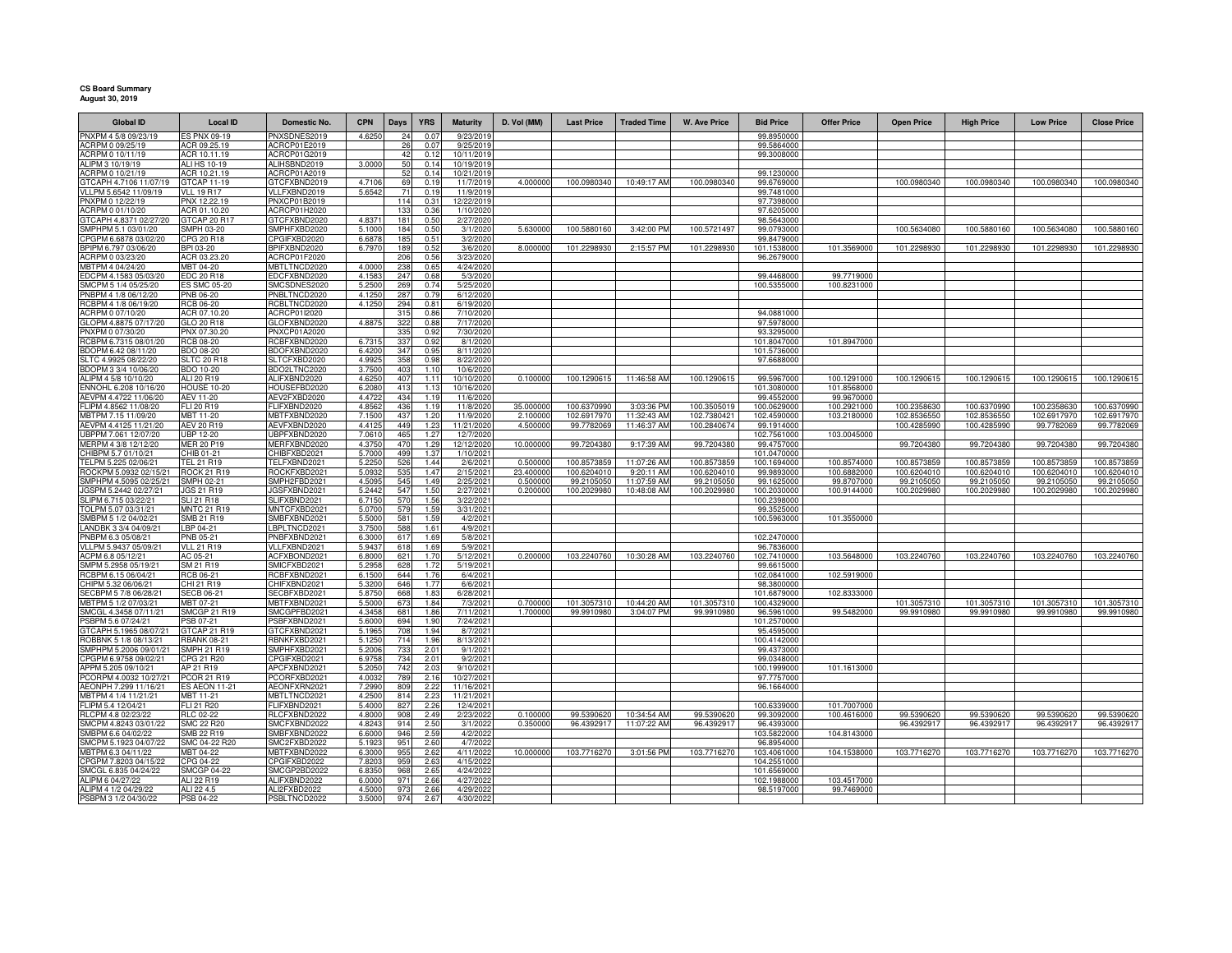## **CS Board Summary August 30, 2019**

| <b>Global ID</b>                                | <b>Local ID</b>                    | Domestic No.                 | <b>CPN</b>      | Days       | <b>YRS</b>    | <b>Maturity</b>          | D. Vol (MM) | <b>Last Price</b> | <b>Traded Time</b> | <b>W. Ave Price</b> | <b>Bid Price</b>           | <b>Offer Price</b>         | <b>Open Price</b> | <b>High Price</b> | <b>Low Price</b> | <b>Close Price</b> |
|-------------------------------------------------|------------------------------------|------------------------------|-----------------|------------|---------------|--------------------------|-------------|-------------------|--------------------|---------------------|----------------------------|----------------------------|-------------------|-------------------|------------------|--------------------|
| PNXPM 4 5/8 09/23/19                            | <b>ES PNX 09-19</b>                | PNXSDNES2019                 | 4.625           | 24         | 0.07          | 9/23/201                 |             |                   |                    |                     | 99.8950000                 |                            |                   |                   |                  |                    |
| ACRPM 0 09/25/19                                | ACR 09.25.19                       | ACRCP01E2019                 |                 | 26         | 0.07          | 9/25/2019                |             |                   |                    |                     | 99.5864000                 |                            |                   |                   |                  |                    |
| ACRPM 0 10/11/19                                | ACR 10.11.19                       | ACRCP01G2019                 |                 | 42         | 0.12          | 10/11/2019               |             |                   |                    |                     | 99.3008000                 |                            |                   |                   |                  |                    |
| ALIPM 3 10/19/19<br>ACRPM 0 10/21/19            | ALI HS 10-19<br>ACR 10.21.19       | ALIHSBND2019<br>ACRCP01A2019 | 3,0000          | 50<br>52   | 0.14<br>0.14  | 10/19/2019<br>10/21/2019 |             |                   |                    |                     | 99.1230000                 |                            |                   |                   |                  |                    |
| GTCAPH 4.7106 11/07/19                          | <b>GTCAP 11-19</b>                 | GTCFXBND2019                 | 4,7106          | 69         | 0.19          | 11/7/2019                | 4.000000    | 100.0980340       | 10:49:17 AM        | 100.0980340         | 99.6769000                 |                            | 100.0980340       | 100.0980340       | 100.0980340      | 100.0980340        |
| VLLPM 5.6542 11/09/19                           | <b>VLL 19 R17</b>                  | VLLFXBND2019                 | 5.6542          | 71         | 0.19          | 11/9/2019                |             |                   |                    |                     | 99.7481000                 |                            |                   |                   |                  |                    |
| PNXPM 0 12/22/19                                | PNX 12.22.19                       | PNXCP01B2019                 |                 | 114        | 0.31          | 12/22/2019               |             |                   |                    |                     | 97.7398000                 |                            |                   |                   |                  |                    |
| ACRPM 0 01/10/20                                | ACR 01.10.20                       | ACRCP01H2020                 |                 | 133        | 0.36          | 1/10/2020                |             |                   |                    |                     | 97.6205000                 |                            |                   |                   |                  |                    |
| GTCAPH 4.8371 02/27/20                          | GTCAP 20 R17                       | GTCFXBND2020                 | 4.837           | 181        | 0.50          | 2/27/2020                |             |                   |                    |                     | 98.5643000                 |                            |                   |                   |                  |                    |
| SMPHPM 5.1 03/01/20<br>CPGPM 6.6878 03/02/20    | SMPH 03-20<br>CPG 20 R18           | SMPHFXBD2020<br>CPGIFXBD2020 | 5.1000<br>6.687 | 184<br>185 | 0.50<br>0.51  | 3/1/2020<br>3/2/2020     | 5.63000     | 100.5880160       | 3:42:00 PM         | 100.5721497         | 99.0793000<br>99.8479000   |                            | 100.5634080       | 100.5880160       | 100.5634080      | 100.5880160        |
| BPIPM 6.797 03/06/20                            | BPI 03-20                          | BPIFXBND2020                 | 6.797           | 189        | 0.52          | 3/6/2020                 | 8.00000     | 101.2298930       | 2:15:57 PM         | 101.2298930         | 101.1538000                | 101.3569000                | 101.2298930       | 101.2298930       | 101.2298930      | 101.2298930        |
| ACRPM 0 03/23/20                                | ACR 03.23.20                       | ACRCP01F2020                 |                 | 206        | 0.56          | 3/23/2020                |             |                   |                    |                     | 96.2679000                 |                            |                   |                   |                  |                    |
| MBTPM 4 04/24/20                                | MBT 04-20                          | MBTLTNCD2020                 | 4.000           | 238        | 0.65          | 4/24/2020                |             |                   |                    |                     |                            |                            |                   |                   |                  |                    |
| EDCPM 4.1583 05/03/20                           | EDC 20 R18                         | EDCFXBND2020                 | 4.158           | 247        | 0.68          | 5/3/2020                 |             |                   |                    |                     | 99.4468000                 | 99.7719000                 |                   |                   |                  |                    |
| SMCPM 5 1/4 05/25/20                            | <b>ES SMC 05-20</b>                | SMCSDNES2020                 | 5.2500          | 269        | 0.74          | 5/25/2020                |             |                   |                    |                     | 100.5355000                | 100.8231000                |                   |                   |                  |                    |
| PNBPM 4 1/8 06/12/20                            | PNB 06-20                          | PNBLTNCD2020                 | 4.1250          | 287        | 0.79          | 6/12/2020                |             |                   |                    |                     |                            |                            |                   |                   |                  |                    |
| RCBPM 4 1/8 06/19/20<br>ACRPM 0 07/10/20        | <b>RCB 06-20</b><br>ACR 07.10.20   | RCBLTNCD2020<br>ACRCP01I2020 | 4.1250          | 294<br>315 | 0.81<br>0.86  | 6/19/2020<br>7/10/2020   |             |                   |                    |                     | 94.0881000                 |                            |                   |                   |                  |                    |
| GLOPM 4.8875 07/17/20                           | GLO 20 R18                         | GLOFXBND2020                 | 4.887           | 32         | 0.88          | 7/17/202                 |             |                   |                    |                     | 97.5978000                 |                            |                   |                   |                  |                    |
| PNXPM 0 07/30/20                                | PNX 07.30.20                       | PNXCP01A2020                 |                 | 335        | 0.92          | 7/30/2020                |             |                   |                    |                     | 93.3295000                 |                            |                   |                   |                  |                    |
| RCBPM 6.7315 08/01/20                           | <b>RCB 08-20</b>                   | RCBFXBND2020                 | 6.731           | 337        | 0.92          | 8/1/2020                 |             |                   |                    |                     | 101.8047000                | 101.8947000                |                   |                   |                  |                    |
| BDOPM 6.42 08/11/20                             | BDO 08-20                          | BDOFXBND2020                 | 6.420           | 347        | 0.95          | 8/11/2020                |             |                   |                    |                     | 101.5736000                |                            |                   |                   |                  |                    |
| SLTC 4.9925 08/22/20                            | <b>SLTC 20 R18</b>                 | SLTCFXBD2020                 | 4.992           | 358        | 0.98          | 8/22/2020                |             |                   |                    |                     | 97.6688000                 |                            |                   |                   |                  |                    |
| BDOPM 3 3/4 10/06/20<br>ALIPM 4 5/8 10/10/20    | BDO 10-20<br>ALI 20 R19            | BDO2LTNC2020<br>ALIFXBND2020 | 3.750<br>4.625  | 403<br>407 | 1.10<br>1 1 1 | 10/6/2020<br>10/10/2020  | 0.100000    | 100.1290615       | 11:46:58 AM        | 100.1290615         | 99.5967000                 | 100.1291000                | 100.1290615       | 100.1290615       | 100.1290615      | 100.1290615        |
| ENNOHL 6.208 10/16/20                           | <b>HOUSE 10-20</b>                 | HOUSEFBD2020                 | 6,208           | 415        | 1.13          | 10/16/2020               |             |                   |                    |                     | 101.3080000                | 101.8568000                |                   |                   |                  |                    |
| AEVPM 4.4722 11/06/20                           | AEV 11-20                          | AEV2FXBD2020                 | 4.472           | 434        | 11C           | 11/6/202                 |             |                   |                    |                     | 99.4552000                 | 99.9670000                 |                   |                   |                  |                    |
| FLIPM 4.8562 11/08/20                           | FLI 20 R19                         | FLIFXBND2020                 | 4.8562          | 436        | 11C           | 11/8/202                 | 35,00000    | 100.6370990       | 3:03:36 PM         | 100.3505019         | 100.0629000                | 100.2921000                | 100.2358630       | 100.6370990       | 100.2358630      | 100.6370990        |
| MBTPM 7.15 11/09/20                             | MBT 11-20                          | MBTFXBND2020                 | 7.150           | 437        | 1.20          | 11/9/202                 | 2.10000     | 102.6917970       | 11:32:43 AM        | 102.7380421         | 102.4590000                | 103.2180000                | 102.8536550       | 102.8536550       | 102.6917970      | 102.6917970        |
| AEVPM 4.4125 11/21/20                           | <b>AEV 20 R19</b>                  | AEVFXBND2020                 | 4.412           | 449        | 1.23          | 11/21/202                | 4.50000     | 99.7782069        | 11:46:37 AM        | 100.2840674         | 99.1914000                 |                            | 100.4285990       | 100.4285990       | 99.7782069       | 99.7782069         |
| UBPPM 7.061 12/07/20<br>MERPM 4 3/8 12/12/20    | UBP 12-20<br><b>MER 20 P19</b>     | UBPFXBND2020<br>MEREXBND2020 | 7.061<br>4.375  | 465<br>470 | 1.27<br>1.29  | 12/7/202<br>12/12/2020   | 10.00000    | 99.7204380        | 9:17:39 AM         | 99.7204380          | 102.7561000<br>99.4757000  | 103.0045000                | 99.7204380        | 99.7204380        | 99.7204380       | 99.7204380         |
| CHIBPM 5.7 01/10/21                             | HIB 01-21                          | CHIBFXBD2021                 | 5.700           | 499        | 1.37          | 1/10/2021                |             |                   |                    |                     | 101.0470000                |                            |                   |                   |                  |                    |
| TELPM 5.225 02/06/21                            | <b>TEL 21 R19</b>                  | TELFXBND2021                 | 5.225           | 526        | 1.44          | 2/6/2021                 | 0.50000     | 100.8573859       | 11:07:26 AM        | 100.8573859         | 100.1694000                | 100.8574000                | 100.8573859       | 100.8573859       | 100.8573859      | 100.8573859        |
| ROCKPM 5.0932 02/15/21                          | <b>ROCK 21 R19</b>                 | ROCKFXBD2021                 | 5.093           | 535        | 1.47          | 2/15/2021                | 23.40000    | 100.6204010       | 9:20:11 AM         | 100.6204010         | 99.9893000                 | 100.6882000                | 100.6204010       | 100.6204010       | 100.6204010      | 100.6204010        |
| SMPHPM 4.5095 02/25/21                          | SMPH 02-21                         | SMPH2FBD2021                 | 4.509           | 545        | 1.49          | 2/25/2021                | 0.500000    | 99.2105050        | 11:07:59 AM        | 99.2105050          | 99.1625000                 | 99.8707000                 | 99.2105050        | 99.2105050        | 99.2105050       | 99.2105050         |
| GSPM 5.2442 02/27/21                            | JGS 21 R19                         | JGSFXBND2021                 | 5.2442          | 547        | 1.50          | 2/27/2021                | 0.200000    | 100.2029980       | 10:48:08 AM        | 100.2029980         | 100.2030000                | 100.9144000                | 100.2029980       | 100.2029980       | 100.2029980      | 100.2029980        |
| SLIPM 6.715 03/22/21<br>TOLPM 5.07 03/31/21     | SLI 21 R18<br><b>MNTC 21 R19</b>   | SLIFXBND2021<br>MNTCFXBD2021 | 6.7150<br>5.070 | 570<br>579 | 1.56<br>1.59  | 3/22/2021<br>3/31/2021   |             |                   |                    |                     | 100.2398000<br>99.3525000  |                            |                   |                   |                  |                    |
| SMBPM 5 1/2 04/02/21                            | SMB 21 R19                         | SMBFXBND2021                 | 5.5000          | 581        | 1.59          | 4/2/2021                 |             |                   |                    |                     | 100.5963000                | 101.3550000                |                   |                   |                  |                    |
| LANDBK 3 3/4 04/09/21                           | LBP 04-21                          | BPLTNCD2021                  | 3.750           | 588        | 1.61          | 4/9/2021                 |             |                   |                    |                     |                            |                            |                   |                   |                  |                    |
| PNBPM 6.3 05/08/21                              | PNB 05-21                          | PNBFXBND2021                 | 6.300           | 617        | 1.69          | 5/8/2021                 |             |                   |                    |                     | 102.2470000                |                            |                   |                   |                  |                    |
| VLLPM 5.9437 05/09/21                           | <b>VLL 21 R19</b>                  | VLLFXBND2021                 | 5.943           | 618        | 1.69          | 5/9/2021                 |             |                   |                    |                     | 96.7836000                 |                            |                   |                   |                  |                    |
| ACPM 6.8 05/12/21                               | AC 05-21                           | ACFXBOND2021                 | 6.800           | 621        | 1.70          | 5/12/2021                | 0.200000    | 103.2240760       | 10:30:28 AM        | 103.2240760         | 102.7410000                | 103.5648000                | 103.2240760       | 103.2240760       | 103.2240760      | 103.2240760        |
| SMPM 5.2958 05/19/21<br>RCBPM 6.15 06/04/21     | SM 21 R19<br>RCB 06-21             | SMICFXBD2021<br>RCBFXBND2021 | 5.295<br>6.150  | 628<br>644 | 1.72<br>1.76  | 5/19/2021<br>6/4/2021    |             |                   |                    |                     | 99.6615000<br>102.0841000  | 102.5919000                |                   |                   |                  |                    |
| CHIPM 5.32 06/06/21                             | CHI 21 R19                         | CHIFXBND2021                 | 5.320           | 646        | 1.77          | 6/6/2021                 |             |                   |                    |                     | 98.3800000                 |                            |                   |                   |                  |                    |
| SECBPM 5 7/8 06/28/21                           | <b>SECB 06-21</b>                  | SECBFXBD2021                 | 5.875           | 668        | 1.83          | 6/28/2021                |             |                   |                    |                     | 101.6879000                | 102.8333000                |                   |                   |                  |                    |
| MBTPM 5 1/2 07/03/21                            | MBT 07-21                          | MBTFXBND2021                 | 5.500           | 673        | 1.84          | 7/3/2021                 | 0.700000    | 101.3057310       | 10:44:20 AM        | 101.3057310         | 100.4329000                |                            | 101.3057310       | 101.3057310       | 101.3057310      | 101.3057310        |
| SMCGL 4.3458 07/11/21                           | <b>SMCGP 21 R19</b>                | SMCGPFBD2021                 | 4.345           | 681        | 1.86          | 7/11/2021                | 1.700000    | 99.9910980        | 3:04:07 PM         | 99.9910980          | 96.5961000                 | 99.5482000                 | 99.9910980        | 99.9910980        | 99.9910980       | 99.9910980         |
| PSBPM 5.6 07/24/21                              | <b>SB 07-21</b>                    | PSBFXBND2021                 | 5.600           | 694        | 1.90          | 7/24/2021                |             |                   |                    |                     | 101.2570000                |                            |                   |                   |                  |                    |
| GTCAPH 5.1965 08/07/21<br>ROBBNK 5 1/8 08/13/21 | GTCAP 21 R19<br><b>RBANK 08-21</b> | GTCFXBND2021<br>RBNKFXBD2021 | 5.196<br>5.125  | 708<br>714 | 1.94<br>1.96  | 8/7/2021                 |             |                   |                    |                     | 95.4595000<br>100.4142000  |                            |                   |                   |                  |                    |
| SMPHPM 5.2006 09/01/21                          | SMPH 21 R19                        | SMPHFXBD2021                 | 5.200           | 733        | 2.01          | 8/13/2021<br>9/1/2021    |             |                   |                    |                     | 99.4373000                 |                            |                   |                   |                  |                    |
| CPGPM 6.9758 09/02/21                           | CPG 21 R20                         | PGIFXBD2021                  | 6.975           | 734        | 2.01          | 9/2/2021                 |             |                   |                    |                     | 99.0348000                 |                            |                   |                   |                  |                    |
| APPM 5.205 09/10/21                             | AP 21 R19                          | APCFXBND2021                 | 5.205           | 742        | 2.03          | 9/10/2021                |             |                   |                    |                     | 100.1999000                | 101.1613000                |                   |                   |                  |                    |
| PCORPM 4.0032 10/27/21                          | PCOR 21 R19                        | PCORFXBD2021                 | 4.003           | 789        | 2.16          | 10/27/2021               |             |                   |                    |                     | 97.7757000                 |                            |                   |                   |                  |                    |
| AEONPH 7.299 11/16/21                           | <b>ES AEON 11-21</b>               | AEONFXRN2021                 | 7.299           | 809        | 2.22          | 11/16/2021               |             |                   |                    |                     | 96.1664000                 |                            |                   |                   |                  |                    |
| MBTPM 4 1/4 11/21/21                            | MBT 11-21                          | MBTLTNCD2021                 | 4.250           | 814        | 2.23          | 11/21/2021               |             |                   |                    |                     |                            |                            |                   |                   |                  |                    |
| FLIPM 5.4 12/04/21<br>RLCPM 4.8 02/23/22        | FLI 21 R20<br><b>RLC 02-22</b>     | FLIFXBND2021<br>RLCFXBND2022 | 5.400<br>4.8000 | 827<br>908 | 2.26<br>2.49  | 12/4/2021<br>2/23/2022   | 0.100000    | 99.5390620        | 10:34:54 AM        | 99.5390620          | 100.6339000<br>99.3092000  | 101.7007000<br>100.4616000 | 99.5390620        | 99.5390620        | 99.5390620       | 99.5390620         |
| SMCPM 4.8243 03/01/22                           | <b>SMC 22 R20</b>                  | SMCFXBND2022                 | 4.824           | 914        | 2.50          | 3/1/2022                 | 0.350000    | 96.4392917        | 11:07:22 AM        | 96.4392917          | 96.4393000                 |                            | 96.4392917        | 96.4392917        | 96.4392917       | 96.4392917         |
| SMBPM 6.6 04/02/22                              | SMB 22 R19                         | SMBFXBND2022                 | 6.6000          | 946        | 2.59          | 4/2/2022                 |             |                   |                    |                     | 103.5822000                | 104.8143000                |                   |                   |                  |                    |
| SMCPM 5.1923 04/07/22                           | SMC 04-22 R20                      | SMC2FXBD2022                 | 5.192           | 951        | 2.60          | 4/7/2022                 |             |                   |                    |                     | 96.8954000                 |                            |                   |                   |                  |                    |
| MBTPM 6.3 04/11/22                              | MBT 04-22                          | MBTFXBND2022                 | 6.300           | 955        | 2.62          | 4/11/2022                | 10.000000   | 103.7716270       | 3:01:56 PM         | 103.7716270         | 103.4061000                | 104.1538000                | 103.7716270       | 103.7716270       | 103.7716270      | 103.7716270        |
| CPGPM 7.8203 04/15/22                           | CPG 04-22                          | CPGIFXBD2022                 | 7.820           | 959        | 2.63          | 4/15/2022                |             |                   |                    |                     | 104.2551000                |                            |                   |                   |                  |                    |
| SMCGL 6.835 04/24/22<br>ALIPM 6 04/27/22        | <b>SMCGP 04-22</b><br>ALI 22 R19   | SMCGP2BD2022<br>ALIFXBND2022 | 6.835<br>6.000  | 968<br>971 | 2.65<br>2.66  | 4/24/2022<br>4/27/2022   |             |                   |                    |                     | 101.6569000<br>102.1988000 | 103.4517000                |                   |                   |                  |                    |
| ALIPM 4 1/2 04/29/22                            | ALI 22 4.5                         | ALI2FXBD2022                 | 4,500           | 973        | 2.66          | 4/29/2022                |             |                   |                    |                     | 98.5197000                 | 99.7469000                 |                   |                   |                  |                    |
| PSBPM 3 1/2 04/30/22                            | PSB 04-22                          | PSBLTNCD2022                 | 3.500           | 974        | 2.67          | 4/30/2022                |             |                   |                    |                     |                            |                            |                   |                   |                  |                    |
|                                                 |                                    |                              |                 |            |               |                          |             |                   |                    |                     |                            |                            |                   |                   |                  |                    |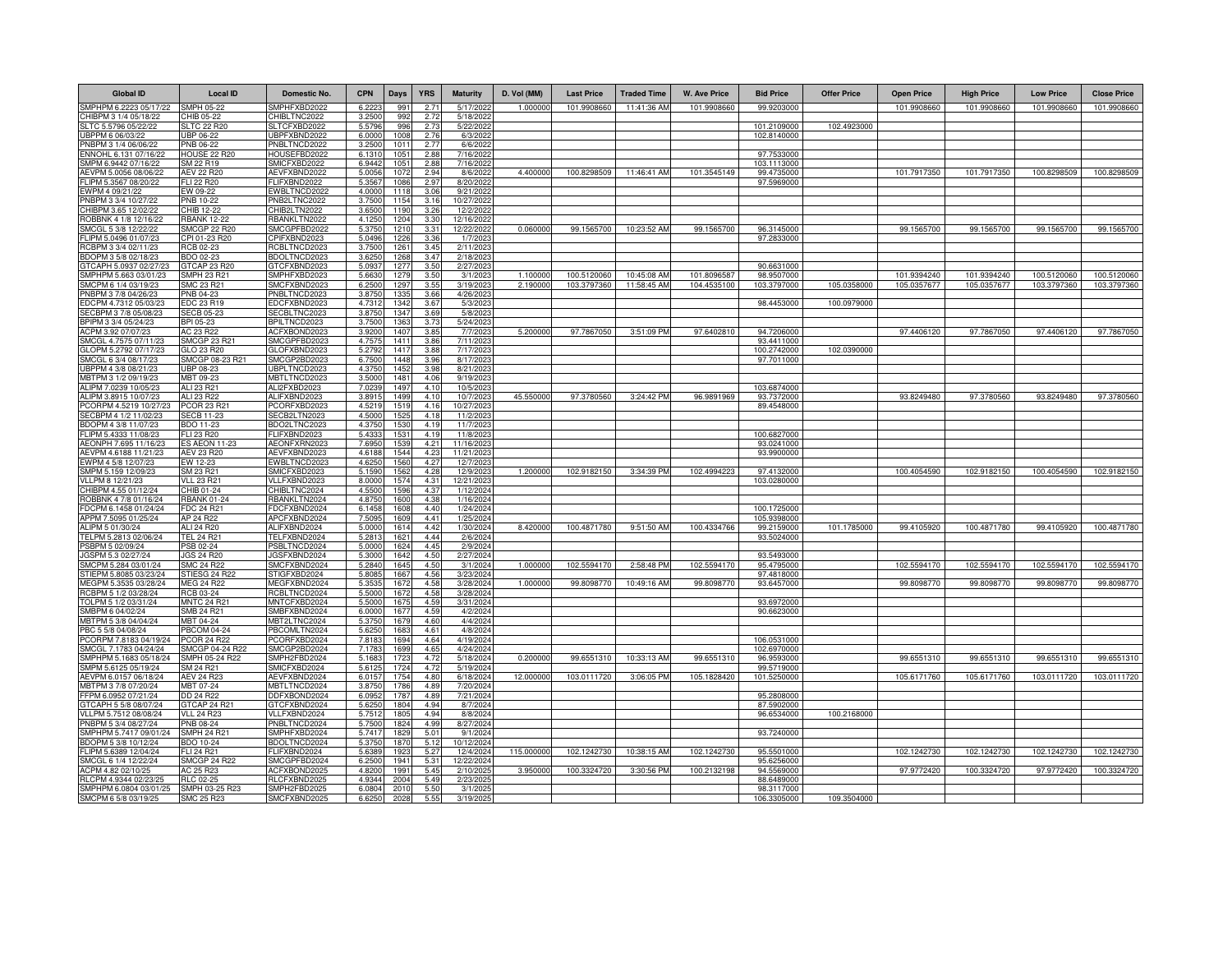| <b>Global ID</b>                                | <b>Local ID</b>                   | Domestic No.                        | <b>CPN</b>       | <b>Days</b>        | <b>YRS</b>               | <b>Maturity</b>         | D. Vol (MM) | <b>Last Price</b> | <b>Traded Time</b> | <b>W. Ave Price</b> | <b>Bid Price</b>           | <b>Offer Price</b> | <b>Open Price</b> | <b>High Price</b> | <b>Low Price</b> | <b>Close Price</b> |
|-------------------------------------------------|-----------------------------------|-------------------------------------|------------------|--------------------|--------------------------|-------------------------|-------------|-------------------|--------------------|---------------------|----------------------------|--------------------|-------------------|-------------------|------------------|--------------------|
| SMPHPM 6.2223 05/17/22                          | <b>SMPH 05-22</b>                 | SMPHFXBD2022                        | 6.222            | 99                 | 2.71                     | 5/17/2022               | 1.00000     | 101.9908660       | 11:41:36 AM        | 101.9908660         | 99.9203000                 |                    | 101.9908660       | 101.9908660       | 101.9908660      | 101.9908660        |
| CHIBPM 3 1/4 05/18/22                           | CHIB 05-22                        | CHIBLTNC2022                        | 3.2500           | 992                | 2.72                     | 5/18/2022               |             |                   |                    |                     |                            | 102.4923000        |                   |                   |                  |                    |
| SLTC 5.5796 05/22/22<br>UBPPM 6 06/03/22        | LTC 22 R20<br>JBP 06-22           | SLTCFXBD2022<br>JBPFXBND2022        | 5.579<br>6,0000  | 996<br>1008        | 2.73<br>2.76             | 5/22/2022<br>6/3/2022   |             |                   |                    |                     | 101.2109000<br>102.8140000 |                    |                   |                   |                  |                    |
| PNBPM 3 1/4 06/06/22                            | PNB 06-22                         | PNBLTNCD2022                        | 3.250            | 101                | 2.77                     | 6/6/2022                |             |                   |                    |                     |                            |                    |                   |                   |                  |                    |
| ENNOHL 6.131 07/16/22                           | HOUSE 22 R20                      | HOUSEFBD2022                        | 6.131            | $105 -$            | 2.88                     | 7/16/2022               |             |                   |                    |                     | 97.7533000                 |                    |                   |                   |                  |                    |
| SMPM 6.9442 07/16/22                            | SM 22 R19                         | SMICFXBD2022                        | 6.944            | 105                | 2.88                     | 7/16/2022               |             |                   |                    |                     | 103.111300                 |                    |                   |                   |                  |                    |
| AEVPM 5.0056 08/06/22<br>FLIPM 5.3567 08/20/22  | AEV 22 R20<br>FLI 22 R20          | AEVFXBND2022<br>FLIFXBND2022        | 5.005<br>5.356   | 1072<br>1086       | 2.94<br>2.97             | 8/6/2022<br>8/20/202    | 4.400000    | 100.8298509       | 11:46:41 AM        | 101.3545149         | 99.4735000<br>97.5969000   |                    | 101.7917350       | 101.7917350       | 100.8298509      | 100.8298509        |
| EWPM 4 09/21/22                                 | EW 09-22                          | EWBLTNCD2022                        | 4.0000           | 1118               | 3.06                     | 9/21/2022               |             |                   |                    |                     |                            |                    |                   |                   |                  |                    |
| PNBPM 3 3/4 10/27/22                            | PNB 10-22                         | PNB2LTNC2022                        | 3.7500           | 1154               | 3.16                     | 10/27/2022              |             |                   |                    |                     |                            |                    |                   |                   |                  |                    |
| CHIBPM 3.65 12/02/22<br>ROBBNK 4 1/8 12/16/22   | CHIB 12-22<br><b>RBANK 12-22</b>  | CHIB2LTN2022<br>RBANKLTN2022        | 3.6500<br>4.125  | 1190<br>1204       | 3.26<br>3.30             | 12/2/2022<br>12/16/2022 |             |                   |                    |                     |                            |                    |                   |                   |                  |                    |
| SMCGL 5 3/8 12/22/22                            | SMCGP 22 R20                      | SMCGPFBD2022                        | 5.375            | 1210               | 3.31                     | 12/22/2022              | 0.060000    | 99.1565700        | 10:23:52 AM        | 99.1565700          | 96.3145000                 |                    | 99.1565700        | 99.1565700        | 99.1565700       | 99.1565700         |
| FLIPM 5.0496 01/07/23                           | PI 01-23 R20                      | PIFXBND2023                         | 5.049            | 1226               | 3.36                     | 1/7/2023                |             |                   |                    |                     | 97.2833000                 |                    |                   |                   |                  |                    |
| RCBPM 3 3/4 02/11/23                            | CB 02-23                          | CBLTNCD2023                         | 3.7500           | 126                | 3.45                     | 2/11/2023               |             |                   |                    |                     |                            |                    |                   |                   |                  |                    |
| BDOPM 3 5/8 02/18/23                            | BDO 02-23                         | BDOLTNCD2023                        | 3.625            | 1268               | 3.47                     | 2/18/2023               |             |                   |                    |                     |                            |                    |                   |                   |                  |                    |
| GTCAPH 5.0937 02/27/23<br>SMPHPM 5.663 03/01/23 | TCAP 23 R20<br>SMPH 23 R21        | GTCFXBND2023<br>SMPHFXBD2023        | 5.093<br>5.6630  | 127<br>1279        | 3.5 <sub>0</sub><br>3.50 | 2/27/2023<br>3/1/2023   | 1.10000     | 100.5120060       | 10:45:08 AM        | 101.8096587         | 90.6631000<br>98.9507000   |                    | 101.9394240       | 101.9394240       | 100.5120060      | 100.5120060        |
| SMCPM 6 1/4 03/19/23                            | SMC 23 R21                        | SMCFXBND2023                        | 6.2500           | 1297               | 3.55                     | 3/19/2023               | 2.19000     | 103.3797360       | 11:58:45 AM        | 104.4535100         | 103.3797000                | 105.0358000        | 105.0357677       | 105.0357677       | 103.3797360      | 103.3797360        |
| PNBPM 3 7/8 04/26/23                            | PNB 04-23                         | PNBLTNCD2023                        | 3.875            | 133                | 3.66                     | 4/26/2023               |             |                   |                    |                     |                            |                    |                   |                   |                  |                    |
| EDCPM 4.7312 05/03/23                           | <b>EDC 23 R19</b>                 | EDCFXBND2023                        | 4.731            | 134i               | 3.67                     | 5/3/2023                |             |                   |                    |                     | 98.4453000                 | 100.0979000        |                   |                   |                  |                    |
| ECBPM 3 7/8 05/08/23<br>BPIPM 3 3/4 05/24/23    | <b>SECB 05-23</b><br>BPI 05-23    | SECBLTNC2023<br>BPILTNCD2023        | 3.875<br>3.750   | 1347<br>1363       | 3.69<br>3.7              | 5/8/2023<br>5/24/2023   |             |                   |                    |                     |                            |                    |                   |                   |                  |                    |
| ACPM 3.92 07/07/23                              | AC 23 R22                         | ACFXBOND2023                        | 3.920            | 1407               | 3.85                     | 7/7/2023                | 5,200000    | 97.7867050        | 3:51:09 PM         | 97.6402810          | 94.7206000                 |                    | 97.4406120        | 97.7867050        | 97.4406120       | 97.7867050         |
| SMCGL 4.7575 07/11/23                           | <b>SMCGP 23 R21</b>               | SMCGPFBD2023                        | 4.757            | 1411               | 3.86                     | 7/11/2023               |             |                   |                    |                     | 93.4411000                 |                    |                   |                   |                  |                    |
| GLOPM 5.2792 07/17/23                           | GLO 23 R20                        | GLOFXBND2023                        | 5.279            | 1417               | 3.88                     | 7/17/2023               |             |                   |                    |                     | 100.2742000                | 102.0390000        |                   |                   |                  |                    |
| SMCGL 6 3/4 08/17/23<br>UBPPM 4 3/8 08/21/23    | SMCGP 08-23 R21<br>UBP 08-23      | SMCGP2BD2023<br>JBPLTNCD2023        | 6.7500<br>4.3750 | 1448<br>1452       | 3.96<br>3.98             | 8/17/2023<br>8/21/2023  |             |                   |                    |                     | 97.7011000                 |                    |                   |                   |                  |                    |
| MBTPM 3 1/2 09/19/23                            | MBT 09-23                         | MBTLTNCD2023                        | 3.5000           | 1481               | 4.06                     | 9/19/2023               |             |                   |                    |                     |                            |                    |                   |                   |                  |                    |
| ALIPM 7.0239 10/05/23                           | ALI 23 R21                        | ALI2FXBD2023                        | 7.023            | 1497               | 4.10                     | 10/5/2023               |             |                   |                    |                     | 103.6874000                |                    |                   |                   |                  |                    |
| ALIPM 3.8915 10/07/23                           | ALI 23 R22                        | ALIFXBND2023                        | 3.8915           | 1499               | 4.10                     | 10/7/2023               | 45.550000   | 97.3780560        | 3:24:42 PM         | 96.9891969          | 93.7372000                 |                    | 93.8249480        | 97.3780560        | 93.8249480       | 97.3780560         |
| PCORPM 4.5219 10/27/23<br>SECBPM 4 1/2 11/02/23 | <b>PCOR 23 R21</b><br>ECB 11-23   | PCORFXBD2023<br>SECB2LTN2023        | 4.521<br>4.5000  | 1519<br>152        | 4.16<br>4.18             | 10/27/2023<br>11/2/2023 |             |                   |                    |                     | 89.4548000                 |                    |                   |                   |                  |                    |
| BDOPM 4 3/8 11/07/23                            | BDO 11-23                         | BDO2LTNC2023                        | 4.3750           | 1530               | 4.19                     | 11/7/2023               |             |                   |                    |                     |                            |                    |                   |                   |                  |                    |
| FLIPM 5.4333 11/08/23                           | FLI 23 R20                        | FLIFXBND2023                        | 5.433            | 153 <sup>°</sup>   | 4.19                     | 11/8/2023               |             |                   |                    |                     | 100.6827000                |                    |                   |                   |                  |                    |
| AEONPH 7.695 11/16/23                           | <b>ES AEON 11-23</b>              | AEONFXRN2023                        | 7.6950           | 1539               | 4.21                     | 11/16/2023              |             |                   |                    |                     | 93.0241000                 |                    |                   |                   |                  |                    |
| AEVPM 4.6188 11/21/23<br>WPM 4 5/8 12/07/23     | <b>AEV 23 R20</b><br>EW 12-23     | AEVFXBND2023<br>EWBLTNCD2023        | 4.618<br>4.625   | 154<br>156         | 4.2<br>4.27              | 11/21/202<br>12/7/2023  |             |                   |                    |                     | 93.9900000                 |                    |                   |                   |                  |                    |
| MPM 5.159 12/09/23                              | SM 23 R21                         | SMICFXBD2023                        | 5.159            | 156                | 4.28                     | 12/9/2023               | 1.20000     | 102.9182150       | 3:34:39 PM         | 102.4994223         | 97.413200                  |                    | 100.4054590       | 102.9182150       | 100.4054590      | 102.9182150        |
| VLLPM 8 12/21/23                                | <b>VLL 23 R21</b>                 | /LLFXBND2023                        | 8.000            | 157                | 4.31                     | 12/21/2023              |             |                   |                    |                     | 103.0280000                |                    |                   |                   |                  |                    |
| CHIBPM 4.55 01/12/24                            | CHIB 01-24                        | CHIBLTNC2024                        | 4.550            | 159                | 4.37                     | 1/12/2024               |             |                   |                    |                     |                            |                    |                   |                   |                  |                    |
| ROBBNK 4 7/8 01/16/24<br>FDCPM 6.1458 01/24/24  | <b>RBANK 01-24</b><br>FDC 24 R21  | RBANKLTN2024<br>FDCFXBND2024        | 4.875<br>6.1458  | 1600<br>1608       | 4.38<br>4.40             | 1/16/2024<br>1/24/2024  |             |                   |                    |                     | 100.1725000                |                    |                   |                   |                  |                    |
| APPM 7.5095 01/25/24                            | AP 24 R22                         | APCFXBND2024                        | 7.5095           | 1609               | 4.41                     | 1/25/2024               |             |                   |                    |                     | 105.9398000                |                    |                   |                   |                  |                    |
| ALIPM 5 01/30/24                                | ALI 24 R20                        | ALIFXBND2024                        | 5.000            | 1614               | 4.42                     | 1/30/2024               | 8.420000    | 100.4871780       | 9:51:50 AM         | 100.4334766         | 99.2159000                 | 101.1785000        | 99.4105920        | 100.4871780       | 99.4105920       | 100.4871780        |
| TELPM 5.2813 02/06/24                           | <b>TEL 24 R21</b>                 | TELFXBND2024                        | 5.281            | 1621               | 4.44                     | 2/6/2024                |             |                   |                    |                     | 93.5024000                 |                    |                   |                   |                  |                    |
| PSBPM 5 02/09/24<br>JGSPM 5.3 02/27/24          | PSB 02-24<br><b>IGS 24 R20</b>    | PSBLTNCD2024<br><b>IGSFXBND2024</b> | 5.000<br>5.300   | 1624<br>1642       | 4.45<br>4.50             | 2/9/2024<br>2/27/2024   |             |                   |                    |                     | 93.5493000                 |                    |                   |                   |                  |                    |
| SMCPM 5.284 03/01/24                            | SMC 24 R22                        | SMCFXBND2024                        | 5.284            | 1645               | 4.50                     | 3/1/2024                | 1.000000    | 102.5594170       | 2:58:48 PM         | 102.5594170         | 95.4795000                 |                    | 102.5594170       | 102.5594170       | 102.5594170      | 102.5594170        |
| STIEPM 5.8085 03/23/24                          | STIESG 24 R22                     | TIGFXBD2024                         | 5.808            | 1667               | 4.56                     | 3/23/2024               |             |                   |                    |                     | 97.4818000                 |                    |                   |                   |                  |                    |
| MEGPM 5.3535 03/28/24                           | <b>MEG 24 R22</b>                 | MEGFXBND2024                        | 5.353            | 1672               | 4.58                     | 3/28/2024               | 1.000000    | 99.8098770        | 10:49:16 AM        | 99.8098770          | 93.6457000                 |                    | 99.8098770        | 99.8098770        | 99.8098770       | 99.8098770         |
| RCBPM 5 1/2 03/28/24<br>TOLPM 5 1/2 03/31/24    | RCB 03-24<br><b>MNTC 24 R21</b>   | RCBLTNCD2024<br>MNTCFXBD2024        | 5.5000<br>5.5000 | 1672<br>1675       | 4.58<br>4.59             | 3/28/2024<br>3/31/2024  |             |                   |                    |                     | 93.6972000                 |                    |                   |                   |                  |                    |
| SMBPM 6 04/02/24                                | SMB 24 R21                        | SMBFXBND2024                        | 6.0000           | 167                | 4.59                     | 4/2/2024                |             |                   |                    |                     | 90.6623000                 |                    |                   |                   |                  |                    |
| MBTPM 5 3/8 04/04/24                            | MBT 04-24                         | <b>MBT2LTNC2024</b>                 | 5.375            | 167                | 4.60                     | 4/4/2024                |             |                   |                    |                     |                            |                    |                   |                   |                  |                    |
| PBC 5 5/8 04/08/24                              | <b>PBCOM 04-24</b><br>PCOR 24 R22 | PBCOMLTN2024                        | 5.625            | 168                | 4.61<br>4.64             | 4/8/2024                |             |                   |                    |                     |                            |                    |                   |                   |                  |                    |
| PCORPM 7.8183 04/19/24<br>SMCGL 7.1783 04/24/24 | SMCGP 04-24 R22                   | PCORFXBD2024<br>SMCGP2BD2024        | 7.818<br>7.178   | 1694<br>169        | 4.65                     | 4/19/2024<br>4/24/2024  |             |                   |                    |                     | 106.0531000<br>102.6970000 |                    |                   |                   |                  |                    |
| SMPHPM 5.1683 05/18/24                          | SMPH 05-24 R22                    | SMPH2FBD2024                        | 5.168            | 1723               | 4.72                     | 5/18/2024               | 0.200000    | 99.6551310        | 10:33:13 AM        | 99.6551310          | 96.9593000                 |                    | 99.6551310        | 99.6551310        | 99.6551310       | 99.6551310         |
| SMPM 5.6125 05/19/24                            | SM 24 R21                         | SMICFXBD2024                        | 5.612            | 1724               | 4.72                     | 5/19/2024               |             |                   |                    |                     | 99.5719000                 |                    |                   |                   |                  |                    |
| AEVPM 6.0157 06/18/24                           | <b>AEV 24 R23</b>                 | AEVFXBND2024                        | 6.015            | 1754               | 4.80                     | 6/18/2024               | 12.000000   | 103.0111720       | 3:06:05 PM         | 105.1828420         | 101.5250000                |                    | 105.6171760       | 105.6171760       | 103.0111720      | 103.0111720        |
| MBTPM 3 7/8 07/20/24<br>FFPM 6.0952 07/21/24    | MBT 07-24<br>DD 24 R22            | MBTLTNCD2024<br>DDFXBOND2024        | 3.875<br>6.095   | 1786<br>1787       | 4.89<br>4.89             | 7/20/2024<br>7/21/2024  |             |                   |                    |                     | 95.2808000                 |                    |                   |                   |                  |                    |
| GTCAPH 5 5/8 08/07/24                           | <b>GTCAP 24 R21</b>               | GTCFXBND2024                        | 5.6250           | 1804               | 4.94                     | 8/7/2024                |             |                   |                    |                     | 87.5902000                 |                    |                   |                   |                  |                    |
| VLLPM 5.7512 08/08/24                           | /LL 24 R23                        | /LLFXBND2024                        | 5.751            | 1805               | 4.94                     | 8/8/2024                |             |                   |                    |                     | 96.6534000                 | 100.2168000        |                   |                   |                  |                    |
| PNBPM 5 3/4 08/27/24                            | PNB 08-24                         | PNBLTNCD2024                        | 5.7500           | 1824<br>182        | 4.99                     | 8/27/2024               |             |                   |                    |                     |                            |                    |                   |                   |                  |                    |
| SMPHPM 5.7417 09/01/24<br>BDOPM 5 3/8 10/12/24  | SMPH 24 R21<br>BDO 10-24          | SMPHFXBD2024<br>BDOLTNCD2024        | 5.7417<br>5.3750 | 187                | 5.01<br>5.12             | 9/1/2024<br>10/12/2024  |             |                   |                    |                     | 93.7240000                 |                    |                   |                   |                  |                    |
| FLIPM 5.6389 12/04/24                           | FLI 24 R21                        | FLIFXBND2024                        | 5.6389           | 1923               | 5.27                     | 12/4/2024               | 115.00000   | 102.1242730       | 10:38:15 AM        | 102.1242730         | 95.5501000                 |                    | 102.1242730       | 102.1242730       | 102.1242730      | 102.1242730        |
| SMCGL 6 1/4 12/22/24                            | <b>SMCGP 24 R22</b>               | SMCGPFBD2024                        | 6.2500           | 1941               | 5.31                     | 12/22/2024              |             |                   |                    |                     | 95.6256000                 |                    |                   |                   |                  |                    |
| ACPM 4.82 02/10/25<br>RLCPM 4.9344 02/23/25     | AC 25 R23<br>RLC 02-25            | ACFXBOND2025<br>RLCFXBND2025        | 4.8200<br>4.9344 | $199 -$<br>$200 -$ | 5.45<br>5.49             | 2/10/2025<br>2/23/2025  | 3.950000    | 100.3324720       | 3:30:56 PM         | 100.2132198         | 94.5569000<br>88,6489000   |                    | 97.9772420        | 100.3324720       | 97.9772420       | 100.3324720        |
| SMPHPM 6.0804 03/01/25                          | SMPH 03-25 R23                    | SMPH2FBD2025                        | 6.080            | 201                | 5.51                     | 3/1/2025                |             |                   |                    |                     | 98.3117000                 |                    |                   |                   |                  |                    |
| SMCPM 6 5/8 03/19/25                            | <b>SMC 25 R23</b>                 | SMCFXBND2025                        | 6.625            | 202                | 5.55                     | 3/19/2025               |             |                   |                    |                     | 106.3305000                | 109.3504000        |                   |                   |                  |                    |